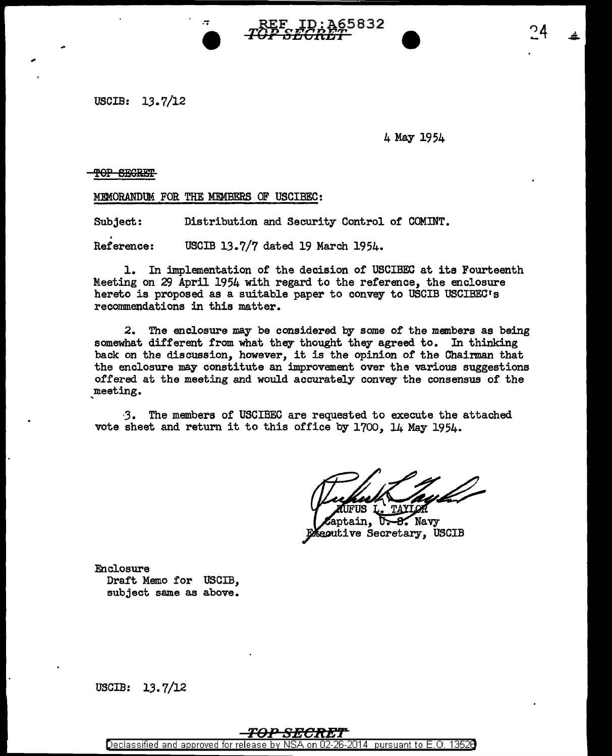

USCIB: 13.7/12

4 May 1954

TOP SEGRET

MEMORANDUM FOR THE MEMBERS OF USCIBEC:

Subject: Distribution and Security Control of COMINT.

. Reference: USCIB 13.7/7 dated 19 March 1954.

1. In implementation of the decision of USCIBEC at its Fourteenth Meeting on *29* April 1954 with regard to the reference, the enclosure hereto is proposed as a suitable paper to convey to USCIB USCIBEC's recommendations in this matter.

2. The enclosure may be considered by some of the members as being somewhat different from what they thought they agreed to. In thinking back on the discussion, however, it is the opinion of the Chairman that the enclosure may constitute an improvement over the various suggestions offered at the meeting and would accurately convey the consensus of the meeting.

J. The members of USCIBEC are requested to execute the attached vote sheet and return it to this office by 1700, 14 May 1954.

FUS

ntain.  $-8.$  Navy Seoutive Secretary, USCIB

Enclosure Draft Memo for USCIB, subject same as above.

USCIB:  $13.7/12$ 

## *TD-P SBC:R"E'r*

Declassified and approved for release by NSA on 02-26-2014 pursuant to E.O. 1352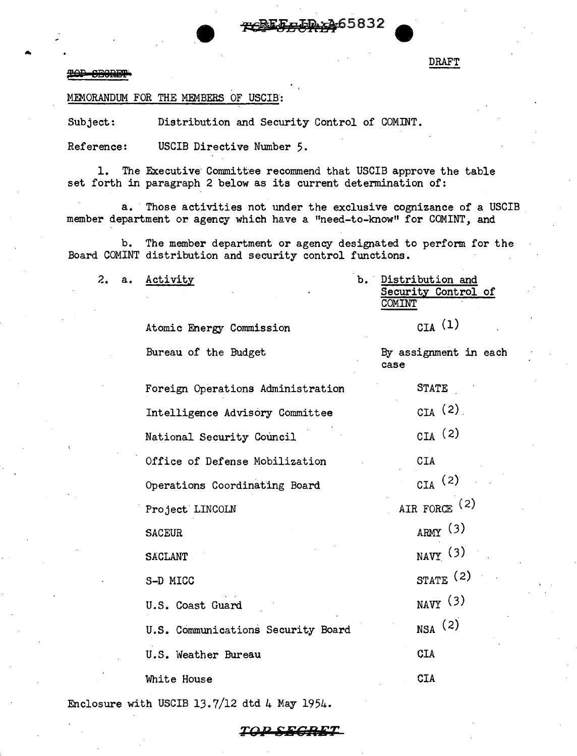5832ھن

## **POP SEGRIF**

... DRAFT

MEMORANDUM FOR THE MEMBERS OF USCIB:

Subject: Distribution and Security Control of COMINT.

Atomic Energy Commission

Reference: USCIB Directive Number 5.

1. The Executive Committee recommend that USCIB approve the table set forth in paragraph 2 below as its current determination of:

a. Those activities not under the exclusive cognizance of a USCIB member department or agency which have a "need-to-know" for COMINT, and

b. The member department or agency designated to perform for the Board COMINT distribution and security control functions.

2. a. Activity

Bureau

 $_{\text{CTA}}$  (1)

|  | of the Budget |  | case | By assignment in each |  |
|--|---------------|--|------|-----------------------|--|
|  |               |  |      |                       |  |

| Foreign Operations Administration  | <b>STATE</b>         |  |  |
|------------------------------------|----------------------|--|--|
| Intelligence Advisory Committee    | CIA $(2)$            |  |  |
| National Security Council          | $_{\text{CIA}}$ (2)  |  |  |
| Office of Defense Mobilization     | <b>CIA</b>           |  |  |
| Operations Coordinating Board      | $_{\text{CIA}}$ (2)  |  |  |
| Project LINCOLN                    | AIR FORCE $(2)$      |  |  |
| <b>SACEUR</b>                      | ARMY(3)              |  |  |
| <b>SACLANT</b>                     | $_{\text{NAVY}}$ (3) |  |  |
| S-D MICC                           | STATE $(2)$          |  |  |
| U.S. Coast Guard                   | $_{\text{NAVY}}$ (3) |  |  |
| U.S. Communications Security Board | $_{NSA}$ (2)         |  |  |
| U.S. Weather Bureau                | <b>CIA</b>           |  |  |
| White House                        | <b>CIA</b>           |  |  |
|                                    |                      |  |  |

Enclosure with USCIB 13.7/12 dtd 4 May 1954.

b. Distribution and Security Control of COMINT